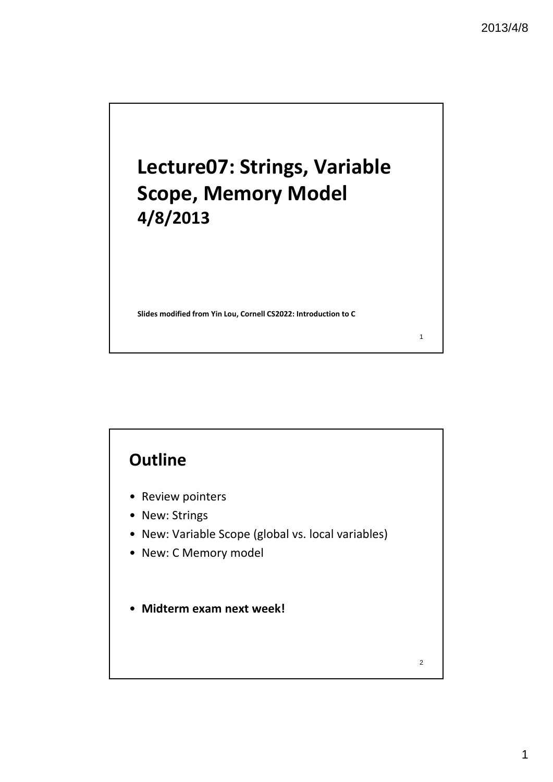# **Lecture07: Strings, Variable Scope, Memory Model 4/8/2013**

**Slides modified from Yin Lou, Cornell CS2022: Introduction to C**

# **Outline**

- Review pointers
- New: Strings
- New: Variable Scope (global vs. local variables)
- New: C Memory model
- **Midterm exam next week!**

2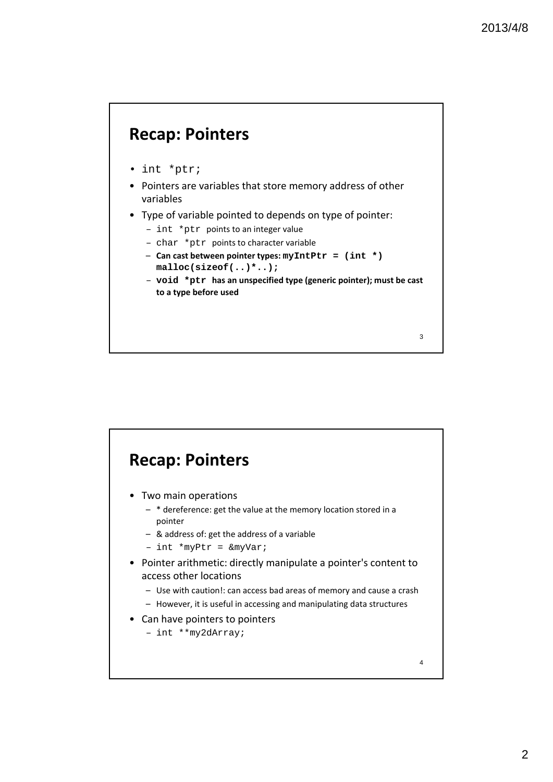# **Recap: Pointers**

- int \*ptr;
- Pointers are variables that store memory address of other variables
- Type of variable pointed to depends on type of pointer:
	- int \*ptr points to an integer value
	- char \*ptr points to character variable
	- **Can cast between pointer types: myIntPtr = (int \*) malloc(sizeof(..)\*..);**
	- **void \*ptr has an unspecified type (generic pointer); must be cast to a type before used**

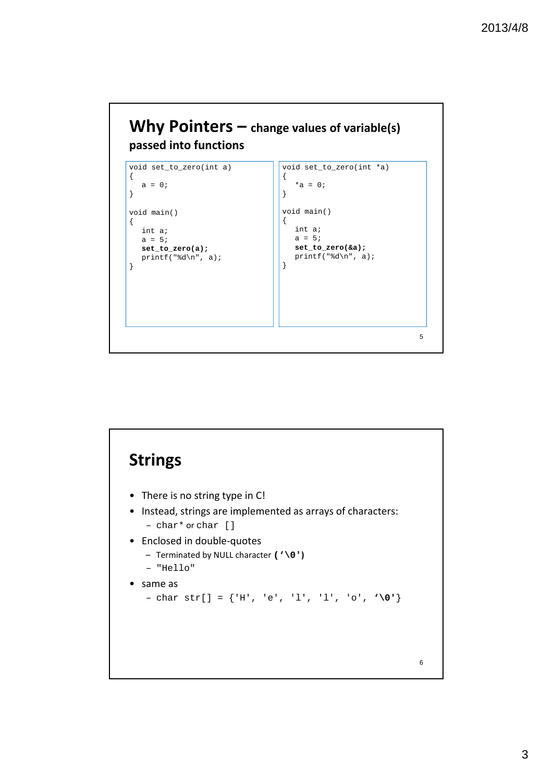

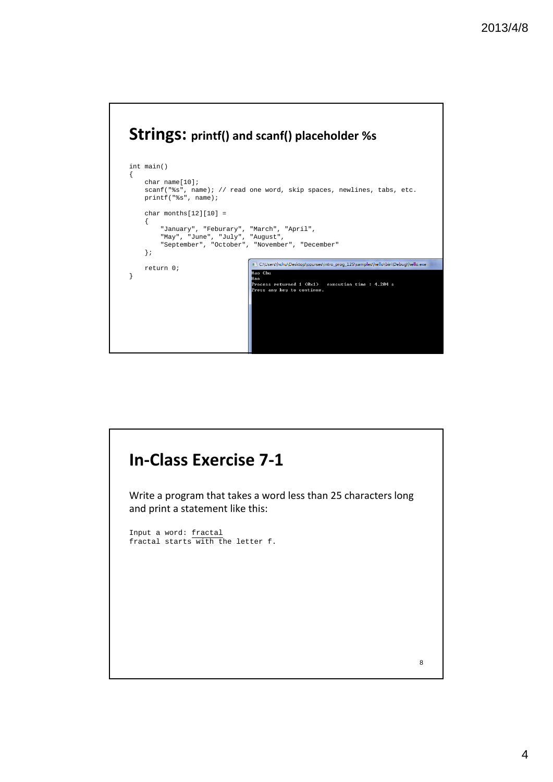

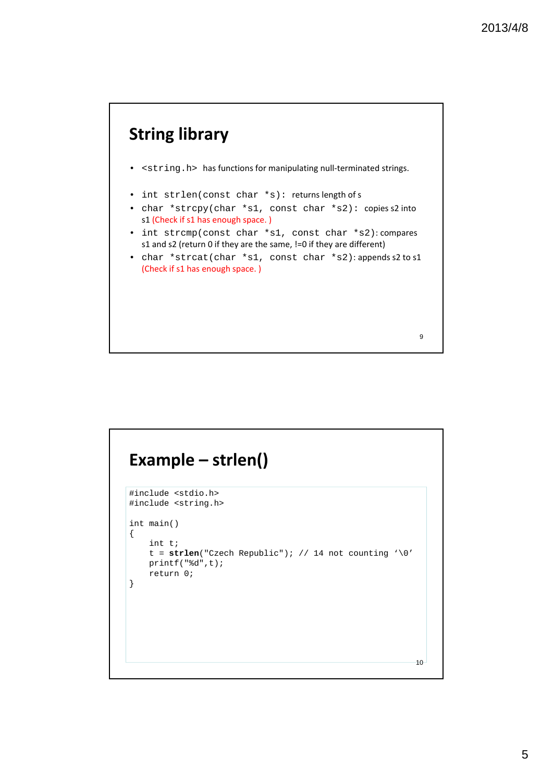

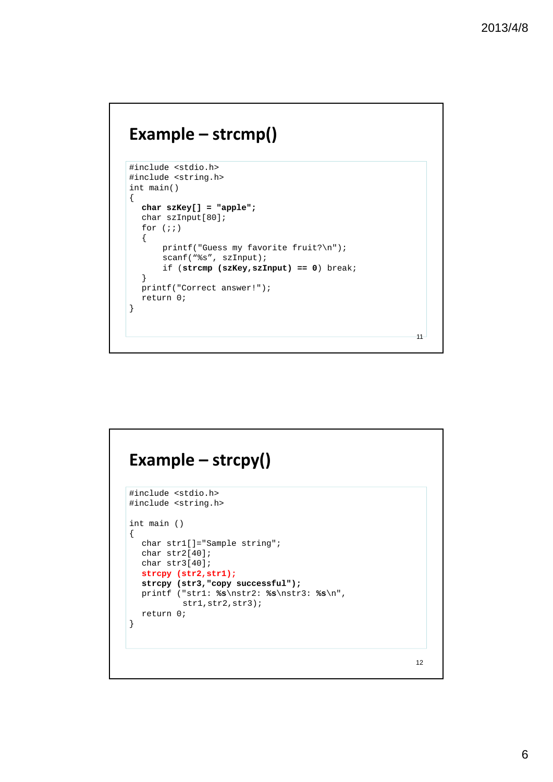# **Example – strcmp()**

```
#include <stdio.h> 
#include <string.h>
int main() 
{ 
  char szKey[] = "apple"; 
  char szInput[80]; 
  for (i; j){ 
      printf("Guess my favorite fruit?\n");
       scanf("%s", szInput); 
       if (strcmp (szKey,szInput) == 0) break; 
  }
  printf("Correct answer!"); 
  return 0; 
}
```
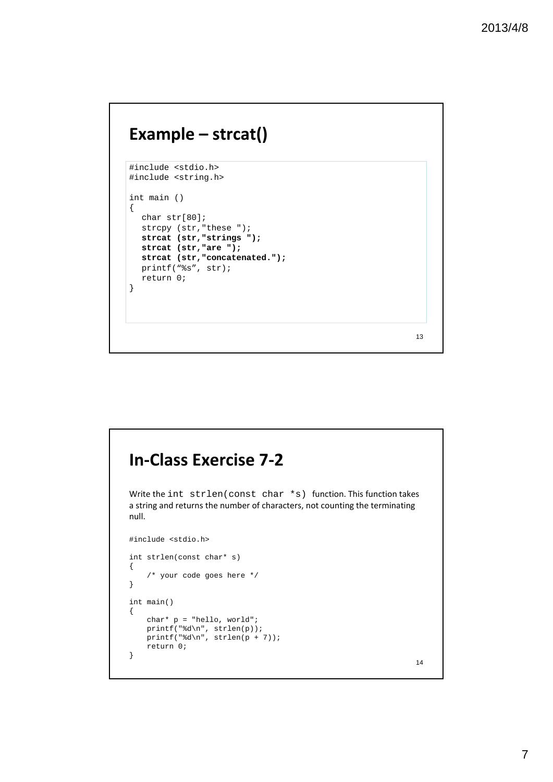# **Example – strcat()**

```
#include <stdio.h> 
#include <string.h> 
int main () 
{ 
  char str[80]; 
  strcpy (str, "these ");
  strcat (str,"strings "); 
  strcat (str,"are "); 
  strcat (str,"concatenated.");
  printf("%s", str); 
  return 0; 
}
```
# **In‐Class Exercise 7‐2**

Write the int strlen(const char \*s) function. This function takes a string and returns the number of characters, not counting the terminating null.

```
#include <stdio.h>
int strlen(const char* s)
{
    /* your code goes here */
}
int main()
{
   char* p = "hello, world";
   printf("%d\n", strlen(p));
   printf("%d\n", strlen(p + 7));
   return 0;
}
```
14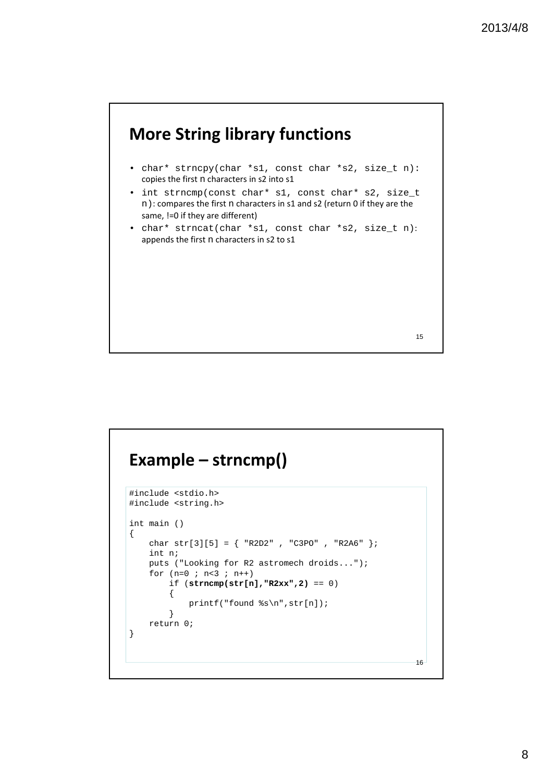

# **Example – strncmp()**

```
#include <stdio.h>
#include <string.h>
int main ()
{
   char str[3][5] = { "R2D2", "C3PO", "R2A6" };
   int n;
   puts ("Looking for R2 astromech droids...");
   for (n=0 ; n<3 ; n++)if (strncmp(str[n],"R2xx",2) == 0)
        {
            printf("found %s\n",str[n]);
        }
   return 0;
}
```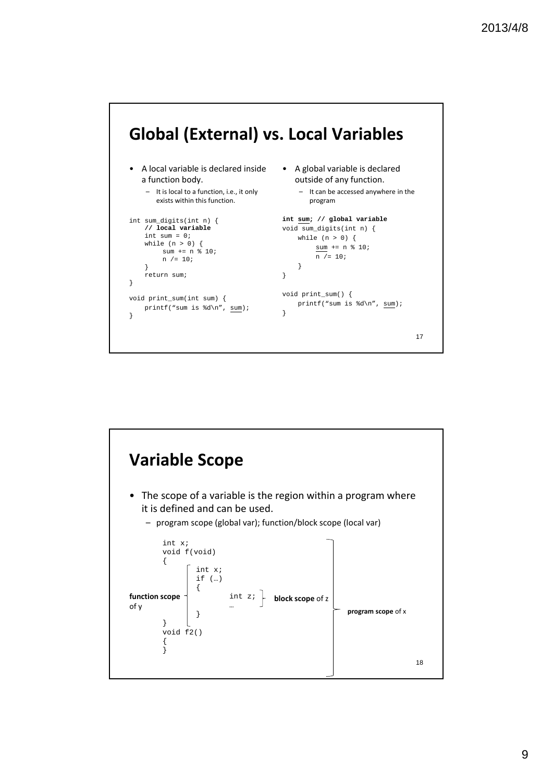

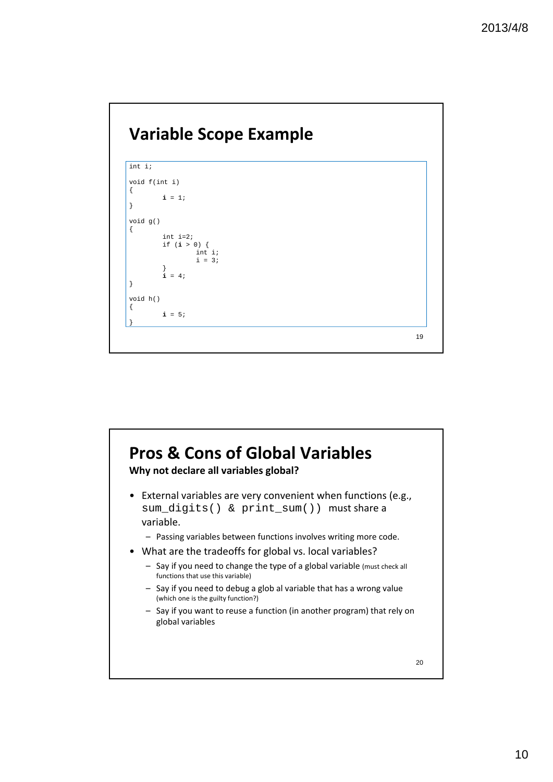

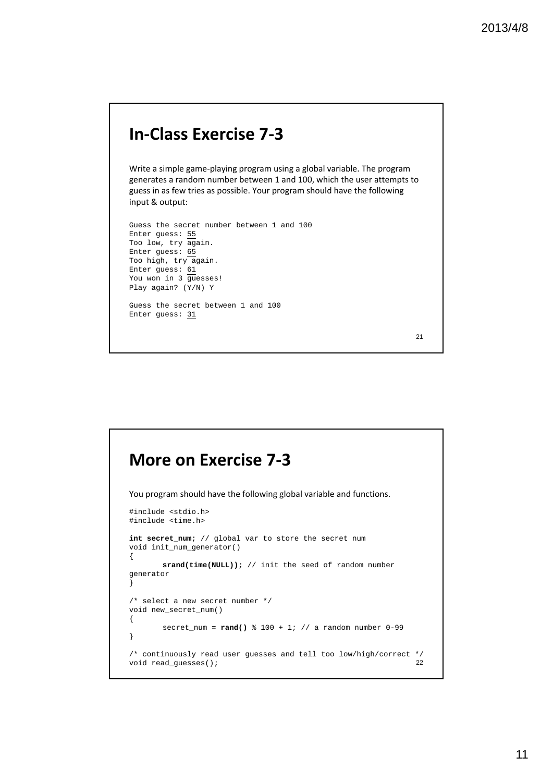### **In‐Class Exercise 7‐3**

Write a simple game‐playing program using a global variable. The program generates a random number between 1 and 100, which the user attempts to guess in as few tries as possible. Your program should have the following input & output:

```
Guess the secret number between 1 and 100
Enter guess: 55
Too low, try again.
Enter guess: 65
Too high, try again.
Enter guess: 61
You won in 3 guesses!
Play again? (Y/N) Y
Guess the secret between 1 and 100
```
Enter guess: 31

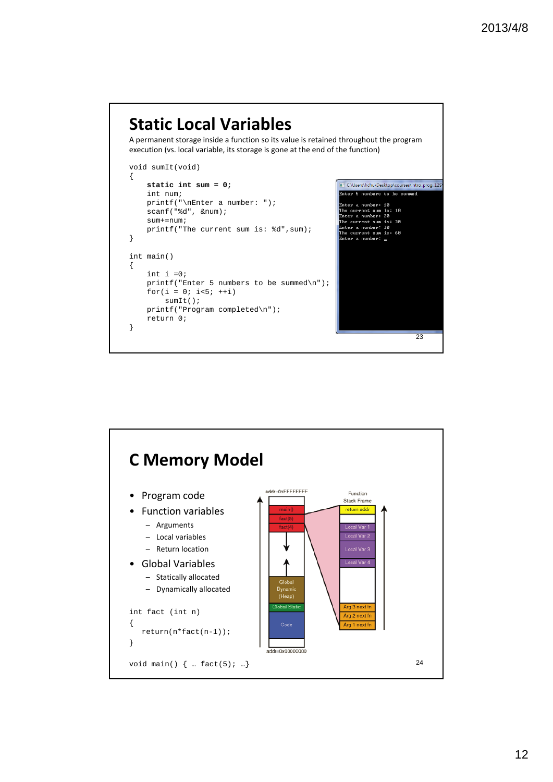#### **Static Local Variables** A permanent storage inside a function so its value is retained throughout the program execution (vs. local variable, its storage is gone at the end of the function) void sumIt(void) { C:\Users\hchu\Desktop\courses\intro\_prog\_12S **static int sum = 0;** nter 5 numbers to be summed int num; nter a nunber: 10<br>he current sun is: 10<br>nter a nunber: 20<br>he current sun is: 30<br>nter a nunber: 30<br>nter a nunber: 30<br>nten a nunber: 50 printf("\nEnter a number: "); scanf("%d", &num);  $s$ um $+$ =num; printf("The current sum is: %d",sum); } a number: \_ nter int main() { int i  $=0;$ printf("Enter 5 numbers to be summed\n"); for( $i = 0; i < 5; ++i$ ) sumIt(); printf("Program completed\n"); return 0; }

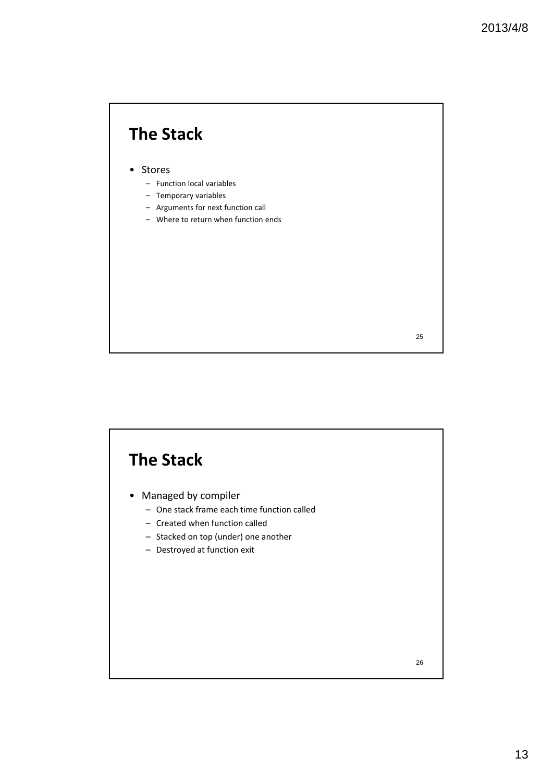# **The Stack**

#### • Stores

- Function local variables
- Temporary variables
- Arguments for next function call
- Where to return when function ends

25

# **The Stack**

- Managed by compiler
	- One stack frame each time function called
	- Created when function called
	- Stacked on top (under) one another
	- Destroyed at function exit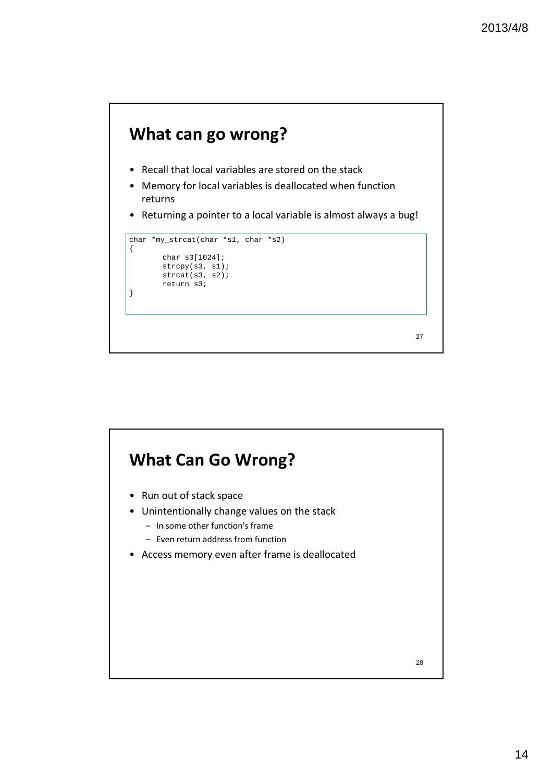

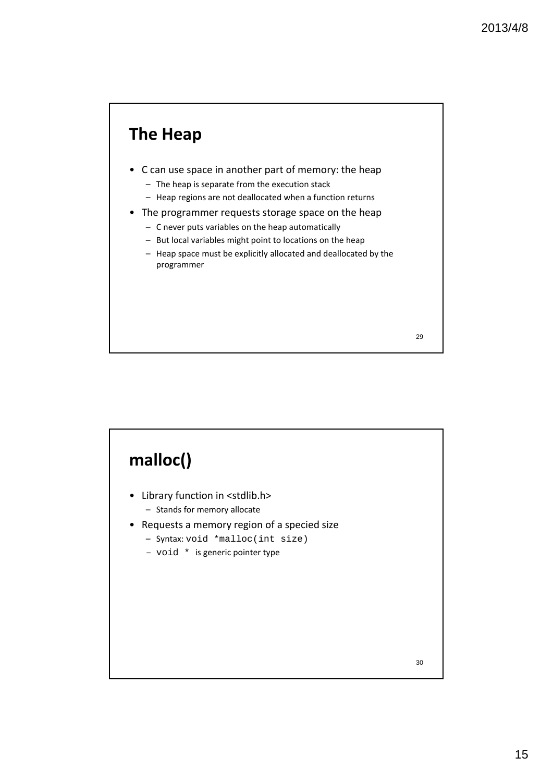

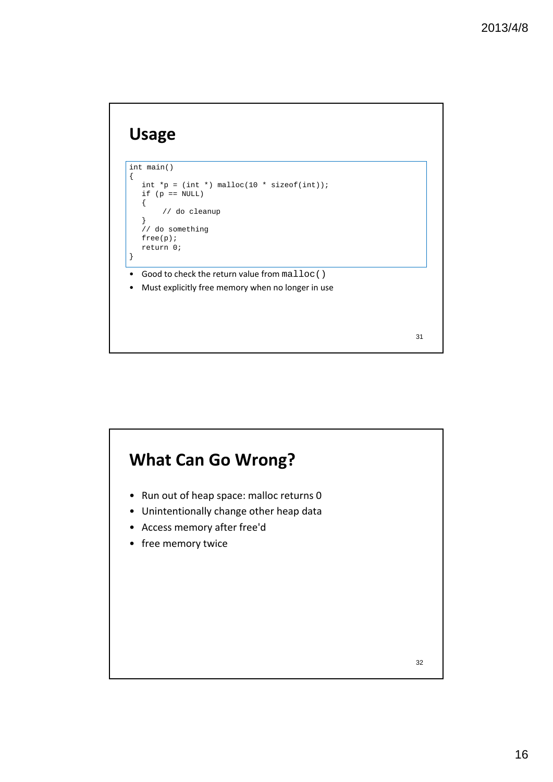# **Usage**



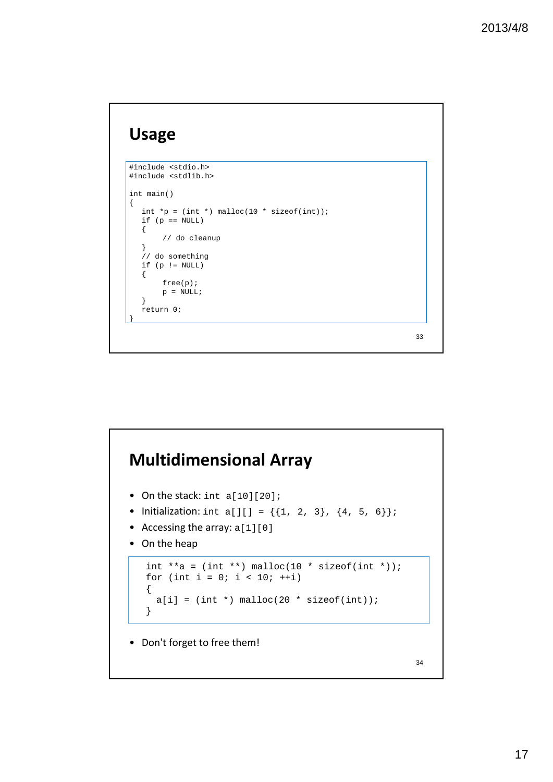# **Usage**

```
#include <stdio.h>
#include <stdlib.h>
int main()
\mathcal{L}int *_{p} = (int * ) malloc(10 * sizeof(int));
  if (p == NULL){
        // do cleanup
   }
   // do something
  if (p \mid = NULL){
       free(p);
       p = NULL;}
  return 0;
}
```
# **Multidimensional Array** 34 • On the stack: int a[10][20]; • Initialization: int a[][] =  $\{\{1, 2, 3\}, \{4, 5, 6\}\}\$ • Accessing the array: a[1][0] • On the heap int \*\*a =  $(int$  \*\*) malloc $(10$  \* sizeof $(int$  \*)); for (int i = 0; i < 10;  $++i$ ) {  $a[i] = (int *)$  malloc(20 \* sizeof(int)); } • Don't forget to free them!